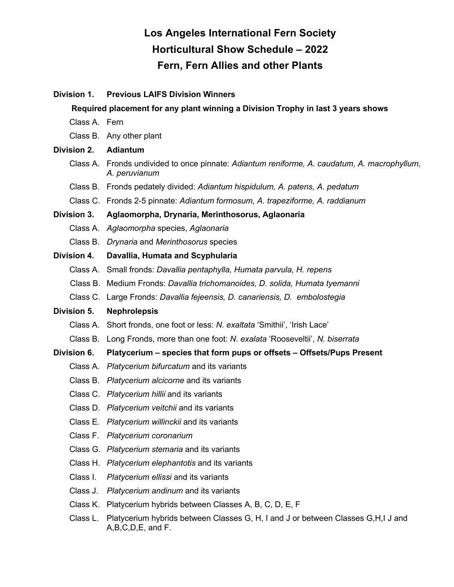# **Los Angeles International Fern Society Horticultural Show Schedule – 2022 Fern, Fern Allies and other Plants**

## **Division 1. Previous LAIFS Division Winners**

#### **Required placement for any plant winning a Division Trophy in last 3 years shows**

- Class A. Fern
- Class B. Any other plant

#### **Division 2. Adiantum**

- Class A. Fronds undivided to once pinnate: *Adiantum reniforme, A. caudatum, A. macrophyllum, A. peruvianum*
- Class B. Fronds pedately divided: *Adiantum hispidulum, A. patens, A. pedatum*
- Class C. Fronds 2-5 pinnate: *Adiantum formosum, A. trapeziforme, A. raddianum*

#### **Division 3. Aglaomorpha, Drynaria, Merinthosorus, Aglaonaria**

- Class A. *Aglaomorpha* species, *Aglaonaria*
- Class B. *Drynaria* and *Merinthosorus* species

#### **Division 4. Davallia, Humata and Scyphularia**

- Class A. Small fronds: *Davallia pentaphylla, Humata parvula, H. repens*
- Class B. Medium Fronds: *Davallia trichomanoides, D. solida, Humata tyemanni*
- Class C. Large Fronds: *Davallia fejeensis, D. canariensis, D. embolostegia*

#### **Division 5. Nephrolepsis**

- Class A. Short fronds, one foot or less: *N. exaltata* 'Smithii', 'Irish Lace'
- Class B. Long Fronds, more than one foot: *N. exalata* 'Rooseveltii', *N. biserrata*

## **Division 6. Platycerium – species that form pups or offsets – Offsets/Pups Present**

- Class A. *Platycerium bifurcatum* and its variants
- Class B. *Platycerium alcicorne* and its variants
- Class C. *Platycerium hillii* and its variants
- Class D. *Platycerium veitchii* and its variants
- Class E. *Platycerium willinckii* and its variants
- Class F. *Platycerium coronarium*
- Class G. *Platycerium stemaria* and its variants
- Class H. *Platycerium elephantotis* and its variants
- Class I. *Platycerium ellissi* and its variants
- Class J. *Platycerium andinum* and its variants
- Class K. Platycerium hybrids between Classes A, B, C, D, E, F
- Class L. Platycerium hybrids between Classes G, H, I and J or between Classes G,H,I J and A,B,C,D,E, and F.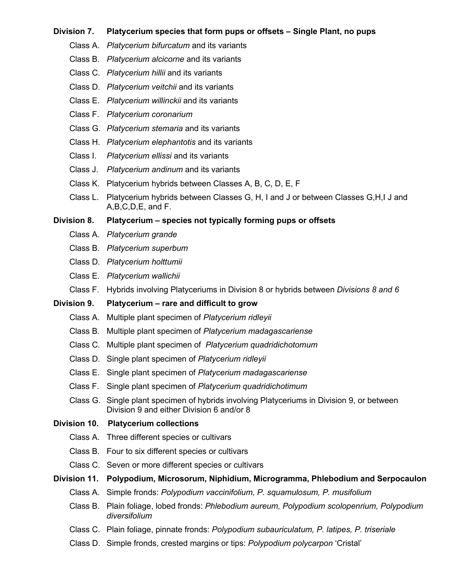## **Division 7. Platycerium species that form pups or offsets – Single Plant, no pups**

- Class A. *Platycerium bifurcatum* and its variants
- Class B. *Platycerium alcicorne* and its variants
- Class C. *Platycerium hillii* and its variants
- Class D. *Platycerium veitchii* and its variants
- Class E. *Platycerium willinckii* and its variants
- Class F. *Platycerium coronarium*
- Class G. *Platycerium stemaria* and its variants
- Class H. *Platycerium elephantotis* and its variants
- Class I. *Platycerium ellissi* and its variants
- Class J. *Platycerium andinum* and its variants
- Class K. Platycerium hybrids between Classes A, B, C, D, E, F
- Class L. Platycerium hybrids between Classes G, H, I and J or between Classes G,H,I J and A,B,C,D,E, and F.

#### **Division 8. Platycerium – species not typically forming pups or offsets**

- Class A. *Platycerium grande*
- Class B*. Platycerium superbum*
- Class D*. Platycerium holttumii*
- Class E*. Platycerium wallichii*
- Class F. Hybrids involving Platyceriums in Division 8 or hybrids between *Divisions 8 and 6*

#### **Division 9. Platycerium – rare and difficult to grow**

- Class A. Multiple plant specimen of *Platycerium ridleyii*
- Class B*.* Multiple plant specimen of *Platycerium madagascariense*
- Class C*.* Multiple plant specimen of *Platycerium quadridichotomum*
- Class D. Single plant specimen of *Platycerium ridleyii*
- Class E. Single plant specimen of *Platycerium madagascariense*
- Class F. Single plant specimen of *Platycerium quadridichotimum*
- Class G. Single plant specimen of hybrids involving Platyceriums in Division 9, or between Division 9 and either Division 6 and/or 8

## **Division 10. Platycerium collections**

- Class A. Three different species or cultivars
- Class B. Four to six different species or cultivars
- Class C. Seven or more different species or cultivars

#### **Division 11. Polypodium, Microsorum, Niphidium, Microgramma, Phlebodium and Serpocaulon**

- Class A. Simple fronds: *Polypodium vaccinifolium, P. squamulosum, P. musifolium*
- Class B. Plain foliage, lobed fronds: *Phlebodium aureum, Polypodium scolopenrium, Polypodium diversifolium*
- Class C. Plain foliage, pinnate fronds: *Polypodium subauriculatum, P. latipes, P. triseriale*
- Class D. Simple fronds, crested margins or tips: *Polypodium polycarpon* 'Cristal'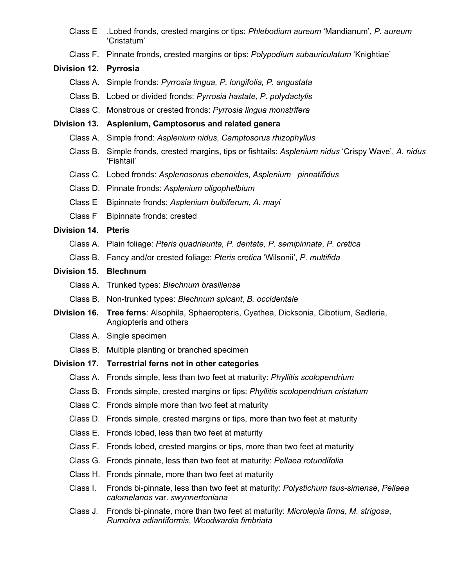- Class E .Lobed fronds, crested margins or tips: *Phlebodium aureum* 'Mandianum', *P. aureum* 'Cristatum'
- Class F. Pinnate fronds, crested margins or tips: *Polypodium subauriculatum* 'Knightiae'

## **Division 12. Pyrrosia**

- Class A. Simple fronds: *Pyrrosia lingua, P. longifolia, P. angustata*
- Class B. Lobed or divided fronds: *Pyrrosia hastate, P. polydactylis*
- Class C. Monstrous or crested fronds: *Pyrrosia lingua monstrifera*

## **Division 13. Asplenium, Camptosorus and related genera**

- Class A. Simple frond: *Asplenium nidus*, *Camptosorus rhizophyllus*
- Class B. Simple fronds, crested margins, tips or fishtails: *Asplenium nidus* 'Crispy Wave', *A. nidus* 'Fishtail'
- Class C. Lobed fronds: *Asplenosorus ebenoides*, *Asplenium pinnatifidus*
- Class D. Pinnate fronds: *Asplenium oligophelbium*
- Class E Bipinnate fronds: *Asplenium bulbiferum*, *A. mayi*
- Class F Bipinnate fronds: crested

# **Division 14. Pteris**

- Class A. Plain foliage: *Pteris quadriaurita, P. dentate, P. semipinnata*, *P. cretica*
- Class B. Fancy and/or crested foliage: *Pteris cretica* 'Wilsonii', *P. multifida*

## **Division 15. Blechnum**

- Class A. Trunked types: *Blechnum brasiliense*
- Class B. Non-trunked types: *Blechnum spicant*, *B. occidentale*
- **Division 16. Tree ferns**: Alsophila, Sphaeropteris, Cyathea, Dicksonia, Cibotium, Sadleria, Angiopteris and others
	- Class A. Single specimen
	- Class B. Multiple planting or branched specimen

# **Division 17. Terrestrial ferns not in other categories**

- Class A. Fronds simple, less than two feet at maturity: *Phyllitis scolopendrium*
- Class B. Fronds simple, crested margins or tips: *Phyllitis scolopendrium cristatum*
- Class C. Fronds simple more than two feet at maturity
- Class D. Fronds simple, crested margins or tips, more than two feet at maturity
- Class E. Fronds lobed, less than two feet at maturity
- Class F. Fronds lobed, crested margins or tips, more than two feet at maturity
- Class G. Fronds pinnate, less than two feet at maturity: *Pellaea rotundifolia*
- Class H. Fronds pinnate, more than two feet at maturity
- Class I. Fronds bi-pinnate, less than two feet at maturity: *Polystichum tsus-simense*, *Pellaea calomelanos* var. *swynnertoniana*
- Class J. Fronds bi-pinnate, more than two feet at maturity: *Microlepia firma*, *M. strigosa*, *Rumohra adiantiformis*, *Woodwardia fimbriata*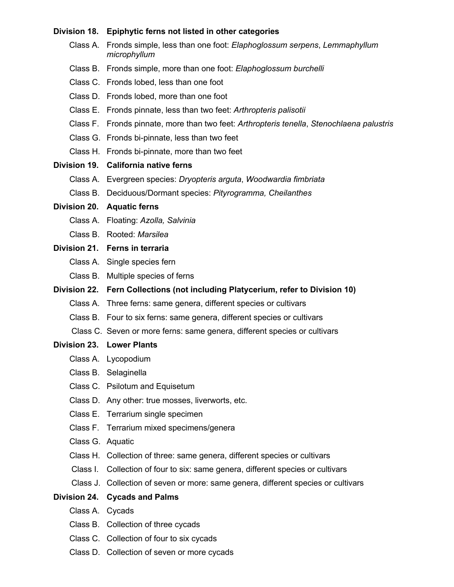| Division 18.     | Epiphytic ferns not listed in other categories                                            |
|------------------|-------------------------------------------------------------------------------------------|
| Class A.         | Fronds simple, less than one foot: Elaphoglossum serpens, Lemmaphyllum<br>microphyllum    |
|                  | Class B. Fronds simple, more than one foot: Elaphoglossum burchelli                       |
|                  | Class C. Fronds lobed, less than one foot                                                 |
|                  | Class D. Fronds lobed, more than one foot                                                 |
|                  | Class E. Fronds pinnate, less than two feet: Arthropteris palisotii                       |
|                  | Class F. Fronds pinnate, more than two feet: Arthropteris tenella, Stenochlaena palustris |
|                  | Class G. Fronds bi-pinnate, less than two feet                                            |
|                  | Class H. Fronds bi-pinnate, more than two feet                                            |
|                  | Division 19. California native ferns                                                      |
|                  | Class A. Evergreen species: Dryopteris arguta, Woodwardia fimbriata                       |
|                  | Class B. Deciduous/Dormant species: Pityrogramma, Cheilanthes                             |
|                  | Division 20. Aquatic ferns                                                                |
|                  | Class A. Floating: Azolla, Salvinia                                                       |
|                  | Class B. Rooted: Marsilea                                                                 |
|                  | Division 21. Ferns in terraria                                                            |
|                  | Class A. Single species fern                                                              |
|                  | Class B. Multiple species of ferns                                                        |
|                  | Division 22. Fern Collections (not including Platycerium, refer to Division 10)           |
|                  | Class A. Three ferns: same genera, different species or cultivars                         |
|                  | Class B. Four to six ferns: same genera, different species or cultivars                   |
|                  | Class C. Seven or more ferns: same genera, different species or cultivars                 |
|                  | <b>Division 23. Lower Plants</b>                                                          |
|                  | Class A. Lycopodium                                                                       |
|                  | Class B. Selaginella                                                                      |
|                  | Class C. Psilotum and Equisetum                                                           |
|                  | Class D. Any other: true mosses, liverworts, etc.                                         |
|                  | Class E. Terrarium single specimen                                                        |
|                  | Class F. Terrarium mixed specimens/genera                                                 |
| Class G. Aquatic |                                                                                           |
|                  | Class H. Collection of three: same genera, different species or cultivars                 |
| Class I.         | Collection of four to six: same genera, different species or cultivars                    |
|                  | Class J. Collection of seven or more: same genera, different species or cultivars         |
|                  | Division 24. Cycads and Palms                                                             |
| Class A. Cycads  |                                                                                           |
|                  | Class B. Collection of three cycads                                                       |
|                  | Class C. Collection of four to six cycads                                                 |

Class D. Collection of seven or more cycads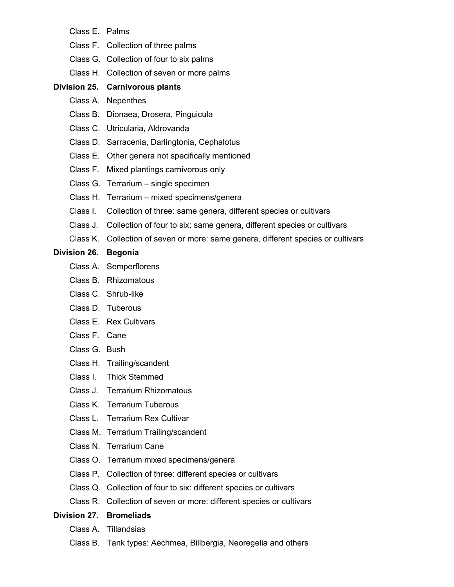- Class E. Palms
- Class F. Collection of three palms
- Class G. Collection of four to six palms
- Class H. Collection of seven or more palms

## **Division 25. Carnivorous plants**

- Class A. Nepenthes
- Class B. Dionaea, Drosera, Pinguicula
- Class C. Utricularia, Aldrovanda
- Class D. Sarracenia, Darlingtonia, Cephalotus
- Class E. Other genera not specifically mentioned
- Class F. Mixed plantings carnivorous only
- Class G. Terrarium single specimen
- Class H. Terrarium mixed specimens/genera
- Class I. Collection of three: same genera, different species or cultivars
- Class J. Collection of four to six: same genera, different species or cultivars
- Class K. Collection of seven or more: same genera, different species or cultivars

## **Division 26. Begonia**

- Class A. Semperflorens
- Class B. Rhizomatous
- Class C. Shrub-like
- Class D. Tuberous
- Class E. Rex Cultivars
- Class F. Cane
- Class G. Bush
- Class H. Trailing/scandent
- Class I. Thick Stemmed
- Class J. Terrarium Rhizomatous
- Class K. Terrarium Tuberous
- Class L. Terrarium Rex Cultivar
- Class M. Terrarium Trailing/scandent
- Class N. Terrarium Cane
- Class O. Terrarium mixed specimens/genera
- Class P. Collection of three: different species or cultivars
- Class Q. Collection of four to six: different species or cultivars
- Class R. Collection of seven or more: different species or cultivars

## **Division 27. Bromeliads**

- Class A. Tillandsias
- Class B. Tank types: Aechmea, Billbergia, Neoregelia and others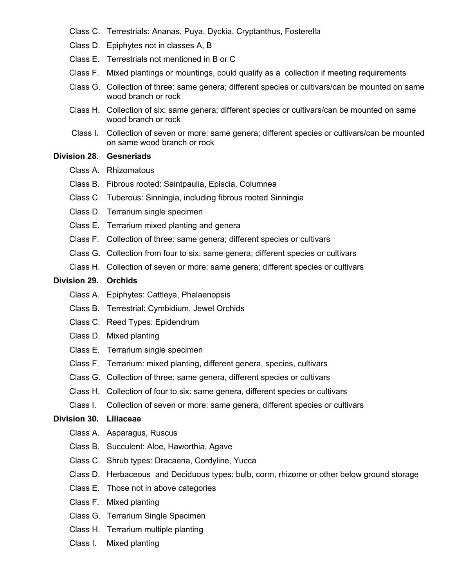- Class C. Terrestrials: Ananas, Puya, Dyckia, Cryptanthus, Fosterella
- Class D. Epiphytes not in classes A, B
- Class E. Terrestrials not mentioned in B or C
- Class F. Mixed plantings or mountings, could qualify as a collection if meeting requirements
- Class G. Collection of three: same genera; different species or cultivars/can be mounted on same wood branch or rock
- Class H. Collection of six: same genera; different species or cultivars/can be mounted on same wood branch or rock
- Class I. Collection of seven or more: same genera; different species or cultivars/can be mounted on same wood branch or rock

## **Division 28. Gesneriads**

- Class A. Rhizomatous
- Class B. Fibrous rooted: Saintpaulia, Episcia, Columnea
- Class C. Tuberous: Sinningia, including fibrous rooted Sinningia
- Class D. Terrarium single specimen
- Class E. Terrarium mixed planting and genera
- Class F. Collection of three: same genera; different species or cultivars
- Class G. Collection from four to six: same genera; different species or cultivars
- Class H. Collection of seven or more: same genera; different species or cultivars

#### **Division 29. Orchids**

- Class A. Epiphytes: Cattleya, Phalaenopsis
- Class B. Terrestrial: Cymbidium, Jewel Orchids
- Class C. Reed Types: Epidendrum
- Class D. Mixed planting
- Class E. Terrarium single specimen
- Class F. Terrarium: mixed planting, different genera, species, cultivars
- Class G. Collection of three: same genera, different species or cultivars
- Class H. Collection of four to six: same genera, different species or cultivars
- Class I. Collection of seven or more: same genera, different species or cultivars

#### **Division 30. Liliaceae**

- Class A. Asparagus, Ruscus
- Class B. Succulent: Aloe, Haworthia, Agave
- Class C. Shrub types: Dracaena, Cordyline, Yucca
- Class D. Herbaceous and Deciduous types: bulb, corm, rhizome or other below ground storage
- Class E. Those not in above categories
- Class F. Mixed planting
- Class G. Terrarium Single Specimen
- Class H. Terrarium multiple planting
- Class I. Mixed planting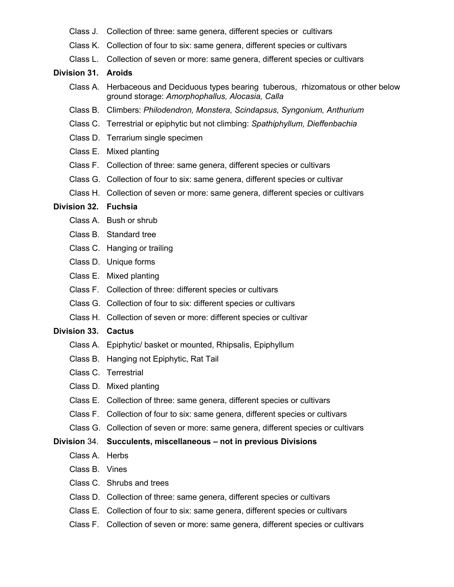- Class J. Collection of three: same genera, different species or cultivars
- Class K. Collection of four to six: same genera, different species or cultivars
- Class L. Collection of seven or more: same genera, different species or cultivars

#### **Division 31. Aroids**

- Class A. Herbaceous and Deciduous types bearing tuberous, rhizomatous or other below ground storage: *Amorphophallus, Alocasia, Calla*
- Class B. Climbers: *Philodendron, Monstera, Scindapsus, Syngonium, Anthurium*
- Class C. Terrestrial or epiphytic but not climbing: *Spathiphyllum, Dieffenbachia*
- Class D. Terrarium single specimen
- Class E. Mixed planting
- Class F. Collection of three: same genera, different species or cultivars
- Class G. Collection of four to six: same genera, different species or cultivar
- Class H. Collection of seven or more: same genera, different species or cultivars

#### **Division 32. Fuchsia**

- Class A. Bush or shrub
- Class B. Standard tree
- Class C. Hanging or trailing
- Class D. Unique forms
- Class E. Mixed planting
- Class F. Collection of three: different species or cultivars
- Class G. Collection of four to six: different species or cultivars
- Class H. Collection of seven or more: different species or cultivar

#### **Division 33. Cactus**

- Class A. Epiphytic/ basket or mounted, Rhipsalis, Epiphyllum
- Class B. Hanging not Epiphytic, Rat Tail
- Class C. Terrestrial
- Class D. Mixed planting
- Class E. Collection of three: same genera, different species or cultivars
- Class F. Collection of four to six: same genera, different species or cultivars
- Class G. Collection of seven or more: same genera, different species or cultivars

#### **Division** 34. **Succulents, miscellaneous – not in previous Divisions**

- Class A. Herbs
- Class B. Vines
- Class C. Shrubs and trees
- Class D. Collection of three: same genera, different species or cultivars
- Class E. Collection of four to six: same genera, different species or cultivars
- Class F. Collection of seven or more: same genera, different species or cultivars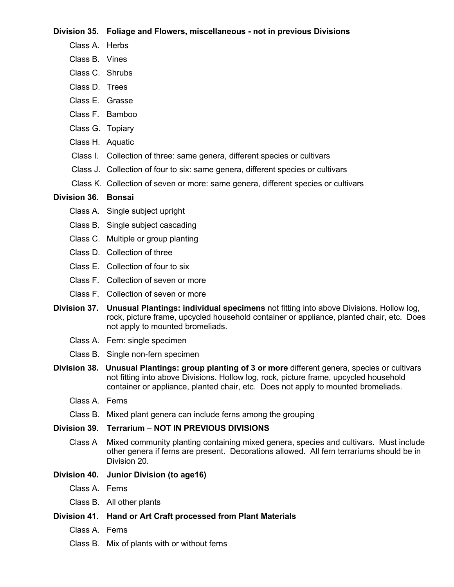#### **Division 35. Foliage and Flowers, miscellaneous - not in previous Divisions**

- Class A. Herbs
- Class B. Vines
- Class C. Shrubs
- Class D. Trees
- Class E. Grasse
- Class F. Bamboo
- Class G. Topiary
- Class H. Aquatic
- Class I. Collection of three: same genera, different species or cultivars
- Class J. Collection of four to six: same genera, different species or cultivars
- Class K. Collection of seven or more: same genera, different species or cultivars

## **Division 36. Bonsai**

- Class A. Single subject upright
- Class B. Single subject cascading
- Class C. Multiple or group planting
- Class D. Collection of three
- Class E. Collection of four to six
- Class F. Collection of seven or more
- Class F. Collection of seven or more
- **Division 37. Unusual Plantings: individual specimens** not fitting into above Divisions. Hollow log, rock, picture frame, upcycled household container or appliance, planted chair, etc. Does not apply to mounted bromeliads.
	- Class A. Fern: single specimen
	- Class B. Single non-fern specimen
- **Division 38. Unusual Plantings: group planting of 3 or more** different genera, species or cultivars not fitting into above Divisions. Hollow log, rock, picture frame, upcycled household container or appliance, planted chair, etc. Does not apply to mounted bromeliads.
	- Class A. Ferns
	- Class B. Mixed plant genera can include ferns among the grouping

# **Division 39. Terrarium** – **NOT IN PREVIOUS DIVISIONS**

 Class A Mixed community planting containing mixed genera, species and cultivars. Must include other genera if ferns are present. Decorations allowed. All fern terrariums should be in Division 20.

# **Division 40. Junior Division (to age16)**

- Class A. Ferns
- Class B. All other plants

## **Division 41. Hand or Art Craft processed from Plant Materials**

- Class A. Ferns
- Class B. Mix of plants with or without ferns